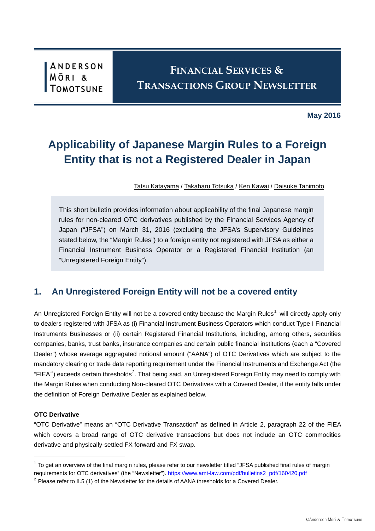# **FINANCIAL SERVICES & TRANSACTIONS GROUP NEWSLETTER**

**May 2016**

# **Applicability of Japanese Margin Rules to a Foreign Entity that is not a Registered Dealer in Japan**

[Tatsu Katayama](https://www.amt-law.com/en/professional/profile/TAK) / [Takaharu Totsuka](https://www.amt-law.com/en/professional/profile/TKT) / [Ken Kawai](https://www.amt-law.com/en/professional/profile/KWK) / [Daisuke Tanimoto](https://www.amt-law.com/en/professional/profile/DST)

This short bulletin provides information about applicability of the final Japanese margin rules for non-cleared OTC derivatives published by the Financial Services Agency of Japan ("JFSA") on March 31, 2016 (excluding the JFSA's Supervisory Guidelines stated below, the "Margin Rules") to a foreign entity not registered with JFSA as either a Financial Instrument Business Operator or a Registered Financial Institution (an "Unregistered Foreign Entity").

## **1. An Unregistered Foreign Entity will not be a covered entity**

An Unregistered Foreign Entity will not be a covered entity because the Margin Rules<sup>[1](#page-0-0)</sup> will directly apply only to dealers registered with JFSA as (i) Financial Instrument Business Operators which conduct Type I Financial Instruments Businesses or (ii) certain Registered Financial Institutions, including, among others, securities companies, banks, trust banks, insurance companies and certain public financial institutions (each a "Covered Dealer") whose average aggregated notional amount ("AANA") of OTC Derivatives which are subject to the mandatory clearing or trade data reporting requirement under the Financial Instruments and Exchange Act (the "FIEA") exceeds certain thresholds<sup>[2](#page-0-1)</sup>. That being said, an Unregistered Foreign Entity may need to comply with the Margin Rules when conducting Non-cleared OTC Derivatives with a Covered Dealer, if the entity falls under the definition of Foreign Derivative Dealer as explained below.

#### **OTC Derivative**

1

"OTC Derivative" means an "OTC Derivative Transaction" as defined in Article 2, paragraph 22 of the FIEA which covers a broad range of OTC derivative transactions but does not include an OTC commodities derivative and physically-settled FX forward and FX swap.

<span id="page-0-0"></span> $1$  To get an overview of the final margin rules, please refer to our newsletter titled "JFSA published final rules of margin requirements for OTC derivatives" (the "Newsletter"). [https://www.amt-law.com/pdf/bulletins2\\_pdf/160420.pdf](https://www.amt-law.com/pdf/bulletins2_pdf/160420.pdf)

<span id="page-0-1"></span> $2$  Please refer to II.5 (1) of the Newsletter for the details of AANA thresholds for a Covered Dealer.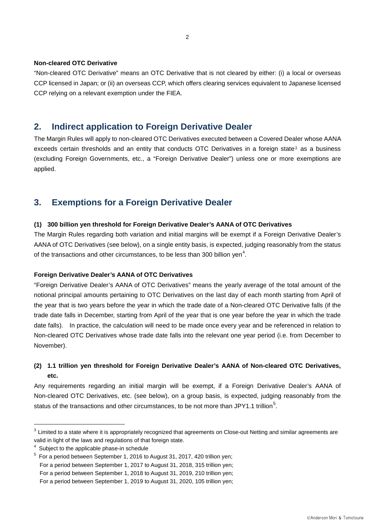#### **Non-cleared OTC Derivative**

"Non-cleared OTC Derivative" means an OTC Derivative that is not cleared by either: (i) a local or overseas CCP licensed in Japan; or (ii) an overseas CCP, which offers clearing services equivalent to Japanese licensed CCP relying on a relevant exemption under the FIEA.

## **2. Indirect application to Foreign Derivative Dealer**

The Margin Rules will apply to non-cleared OTC Derivatives executed between a Covered Dealer whose AANA exceeds certain thresholds and an entity that conducts OTC Derivatives in a foreign state<sup>[3](#page-1-0)</sup> as a business (excluding Foreign Governments, etc., a "Foreign Derivative Dealer") unless one or more exemptions are applied.

## **3. Exemptions for a Foreign Derivative Dealer**

#### **(1) 300 billion yen threshold for Foreign Derivative Dealer's AANA of OTC Derivatives**

The Margin Rules regarding both variation and initial margins will be exempt if a Foreign Derivative Dealer's AANA of OTC Derivatives (see below), on a single entity basis, is expected, judging reasonably from the status of the transactions and other circumstances, to be less than 300 billion yen<sup>[4](#page-1-1)</sup>.

#### **Foreign Derivative Dealer's AANA of OTC Derivatives**

"Foreign Derivative Dealer's AANA of OTC Derivatives" means the yearly average of the total amount of the notional principal amounts pertaining to OTC Derivatives on the last day of each month starting from April of the year that is two years before the year in which the trade date of a Non-cleared OTC Derivative falls (if the trade date falls in December, starting from April of the year that is one year before the year in which the trade date falls). In practice, the calculation will need to be made once every year and be referenced in relation to Non-cleared OTC Derivatives whose trade date falls into the relevant one year period (i.e. from December to November).

### **(2) 1.1 trillion yen threshold for Foreign Derivative Dealer's AANA of Non-cleared OTC Derivatives, etc.**

Any requirements regarding an initial margin will be exempt, if a Foreign Derivative Dealer's AANA of Non-cleared OTC Derivatives, etc. (see below), on a group basis, is expected, judging reasonably from the status of the transactions and other circumstances, to be not more than JPY1.1 trillion<sup>[5](#page-1-2)</sup>.

1

<span id="page-1-0"></span><sup>&</sup>lt;sup>3</sup> Limited to a state where it is appropriately recognized that agreements on Close-out Netting and similar agreements are valid in light of the laws and regulations of that foreign state.

<sup>4</sup> Subject to the applicable phase-in schedule

<span id="page-1-2"></span><span id="page-1-1"></span><sup>&</sup>lt;sup>5</sup> For a period between September 1, 2016 to August 31, 2017, 420 trillion yen;

For a period between September 1, 2017 to August 31, 2018, 315 trillion yen;

For a period between September 1, 2018 to August 31, 2019, 210 trillion yen;

For a period between September 1, 2019 to August 31, 2020, 105 trillion yen;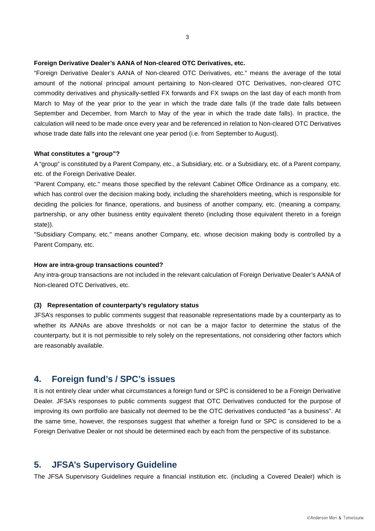#### **Foreign Derivative Dealer's AANA of Non-cleared OTC Derivatives, etc.**

"Foreign Derivative Dealer's AANA of Non-cleared OTC Derivatives, etc." means the average of the total amount of the notional principal amount pertaining to Non-cleared OTC Derivatives, non-cleared OTC commodity derivatives and physically-settled FX forwards and FX swaps on the last day of each month from March to May of the year prior to the year in which the trade date falls (if the trade date falls between September and December, from March to May of the year in which the trade date falls). In practice, the calculation will need to be made once every year and be referenced in relation to Non-cleared OTC Derivatives whose trade date falls into the relevant one year period (i.e. from September to August).

#### **What constitutes a "group"?**

A "group" is constituted by a Parent Company, etc., a Subsidiary, etc. or a Subsidiary, etc. of a Parent company, etc. of the Foreign Derivative Dealer.

"Parent Company, etc." means those specified by the relevant Cabinet Office Ordinance as a company, etc. which has control over the decision making body, including the shareholders meeting, which is responsible for deciding the policies for finance, operations, and business of another company, etc. (meaning a company, partnership, or any other business entity equivalent thereto (including those equivalent thereto in a foreign state)).

"Subsidiary Company, etc." means another Company, etc. whose decision making body is controlled by a Parent Company, etc.

#### **How are intra-group transactions counted?**

Any intra-group transactions are not included in the relevant calculation of Foreign Derivative Dealer's AANA of Non-cleared OTC Derivatives, etc.

#### **(3) Representation of counterparty's regulatory status**

JFSA's responses to public comments suggest that reasonable representations made by a counterparty as to whether its AANAs are above thresholds or not can be a major factor to determine the status of the counterparty, but it is not permissible to rely solely on the representations, not considering other factors which are reasonably available.

## **4. Foreign fund's / SPC's issues**

It is not entirely clear under what circumstances a foreign fund or SPC is considered to be a Foreign Derivative Dealer. JFSA's responses to public comments suggest that OTC Derivatives conducted for the purpose of improving its own portfolio are basically not deemed to be the OTC derivatives conducted "as a business". At the same time, however, the responses suggest that whether a foreign fund or SPC is considered to be a Foreign Derivative Dealer or not should be determined each by each from the perspective of its substance.

### **5. JFSA's Supervisory Guideline**

The JFSA Supervisory Guidelines require a financial institution etc. (including a Covered Dealer) which is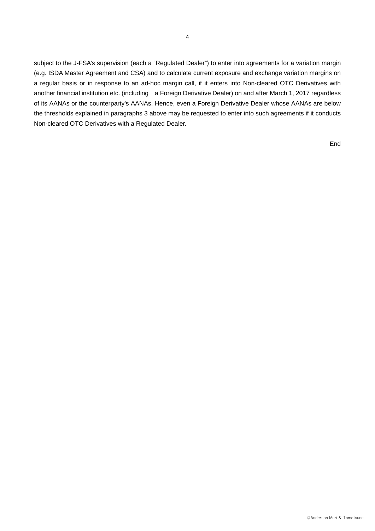subject to the J-FSA's supervision (each a "Regulated Dealer") to enter into agreements for a variation margin (e.g. ISDA Master Agreement and CSA) and to calculate current exposure and exchange variation margins on a regular basis or in response to an ad-hoc margin call, if it enters into Non-cleared OTC Derivatives with another financial institution etc. (including a Foreign Derivative Dealer) on and after March 1, 2017 regardless of its AANAs or the counterparty's AANAs. Hence, even a Foreign Derivative Dealer whose AANAs are below the thresholds explained in paragraphs 3 above may be requested to enter into such agreements if it conducts Non-cleared OTC Derivatives with a Regulated Dealer.